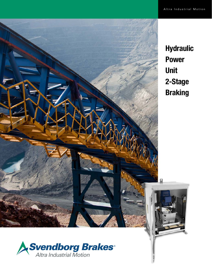



Hydraulic Power Unit 2-Stage Braking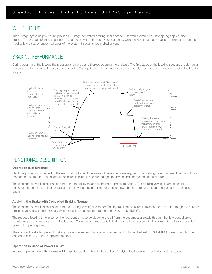# WHERE TO USE

|

The 2-stage hydraulic power unit provide a 2-stage controlled braking sequence for use with hydraulic fail-safe spring applied disc brakes. The 2-stage braking sequence is used to prevent a hard braking sequence, which in worst case can cause too high stress on the mechanical parts, or unwanted wear of the system through uncontrolled braking.

# BRAKING PERFORMANCE

During opening of the brakes the pressure is build up and thereby opening the brake(s). The first stage of the braking sequence is dumping the pressure to the correct pressure and after the 2-stage braking time the pressure is smoothly reduced and thereby increasing the braking torque.



# FUNCTIONAL DESCRIPTION

## Operation (Not Braking)

Electrical power is connected to the electrical motor and the solenoid valve(s) is/are energized. The braking valve(s) is/are closed and block the connection to tank. The hydraulic pressure is built up and disengages the brake and charges the accumulator.

The electrical power is disconnected from the motor by means of the motor pressure switch. The braking valve(s) is/are constantly energized. If the pressure is decreasing to the lower set point for motor pressure switch the motor will restart and increase the pressure again.

### Applying the Brake with Controlled Braking Torque

The electrical power is disconnected to the braking valve(s) and motor. The hydraulic oil pressure is released to the tank through the counter pressure valve(s) and the throttle valve(s), resulting in a constant reduced braking torque (MT%).

The reduced braking time is set by the flow control valve by bleeding the oil from the accumulator slowly through the flow control valve, maintaining a constant pressure in the brakes. When the accumulator is fully discharged the pressure in the brake will go to zero, and full braking torque is applied.

The constant brake torque and braking time is pre-set from factory as specified or if not specified set to 50% (MT%) of maximum torque and approximately 10sec stopping time (Δt).

### Operation in Case of Power Failure

In case of power failure the brakes will be applied as described in the section: Applying the brake with controlled braking torque.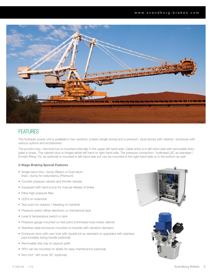

# **FEATURES**

The hydraulic power unit is available in two versions; a basic (single dump) and a premium (dual dump) with cabinet / enclosure with various options and accessories.

The junction box / terminal box is mounted internally in the upper left hand side. Cable entry is in left hand side with removable entry plate in brass. The cabinet door is hinged either left hand or right hand side. The pressure connection / bulkhead (JIC as standard / Ermeto fitting 10L as optional) is mounted in left hand side but can be mounted in the right hand side or in the bottom as well.

## 2-Stage Braking Special Features

- Single return line / dump (Basic) or Dual return lines / dump for redundancy (Premium)
- Counter pressure valve(s) and throttle valve(s)
- Equipped with hand pump for manual release of brake
- Inline high pressure filter
- LED's on solenoids
- Test point for readout / bleeding of manifold
- Pressure switch either electronic or mechanical type
- Level & temperature switch in tank
- Pressure gauge mounted on test point (minimess) hose inside cabinet
- Stainless steel enclosure mounted on bracket with vibration dampers
- Enclosure door with cam lock with double bit as standard or upgraded with stainless pad-lockable swing handle (optional)
- Removable drip tray to capture spills
- HPU can be mounted on slides for easy maintenance (optional)
- Sun roof / dirt cover 30° (optional)



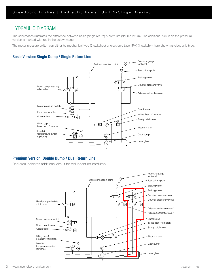# HYDRAULIC DIAGRAM

The schematics illustrates the difference between basic (single return) & premium (double return). The additional circuit on the premium version is marked with red in the below image.

The motor pressure switch can either be mechanical type (2 switches) or electronic type (IFM) (1 switch) – here shown as electronic type.

# Basic Version: Single Dump / Single Return Line



# Premium Version: Double Dump / Dual Return Line

Red area indicates additional circuit for redundant return/dump

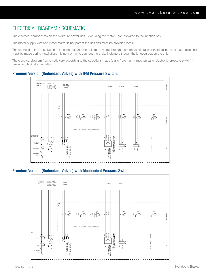# ELECTRICAL DIAGRAM / SCHEMATIC

The electrical components on the hydraulic power unit – excluding the motor - are prewired to the junction box.

The motor supply wire and motor starter is not part of the unit and must be provided locally.

The connection from installation to junction box and motor is to be made through the removable brass entry plate in the left hand side and must be made during installation. It is not normal to connect the brake indicators though the junction box on the unit.

The electrical diagram / schematic vary according to the selections made (basic / premium / mechanical or electronic pressure switch) – below two typical schematics

## Premium Version (Redundant Valves) with IFM Pressure Switch:



## Premium Version (Redundant Valves) with Mechanical Pressure Switch:

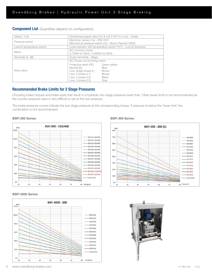# **Component List** (Quantities depend on configuration)

| Valves / Coil              | Directional poppet valve 2/2 & coil 21W (1x or 2x) - Hydac                                                                                   |                                                                              |  |  |
|----------------------------|----------------------------------------------------------------------------------------------------------------------------------------------|------------------------------------------------------------------------------|--|--|
| Pressure switch            | Electronic sensor (1x) - IFM 7001<br>Mechanical pressure switch (2x) - Bosch Rexroth HED5                                                    |                                                                              |  |  |
| Level & temperature switch | Level indicator with temperature switch 70°C - Lund & Sorensen                                                                               |                                                                              |  |  |
| Motor                      | IEC common motor<br>0,75kW for 50Hz / 0,90kW for 60Hz                                                                                        |                                                                              |  |  |
| Terminals (in JB)          | Screw terminals - Wago                                                                                                                       |                                                                              |  |  |
|                            | IEC Power circuit wiring colors                                                                                                              |                                                                              |  |  |
| Wire colors                | Protective earth (PE)<br>Neutral (N)<br>Line, single phase (L)<br>Line, $3$ phase $(L1)$<br>Line, $3$ phase $(L2)$<br>Line, $3$ phase $(L3)$ | Green-yellow<br><b>Blue</b><br>Brown<br><b>Brown</b><br><b>Black</b><br>Grey |  |  |

## Recommended Brake Limits for 2 Stage Pressures

Choosing brake torques and brake sizes that result in a hydraulic two stage pressure lower than 10bar (lower limit) is not recommended as the counter pressure valve is very difficult to set at this low pressure.

The brake pressure curves indicate the two stage pressure at the corresponding torque. If pressure is below the 'lower limit' the combination is not recommended.

## BSFI 200 Series:



### BSFI 3000 Series:



## BSFI 300 Series:



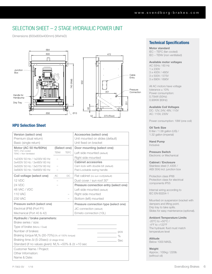# SELECTION SHEET – 2 STAGE HYDRAULIC POWER UNIT

Dimensions (600x800x400mm) (WxHxD)





# HPU Selection Sheet

| Version (select one)<br>Premium (dual return)                           |              |                                       | Accesories (select one)<br>Unit mounted on slides (default) |     |
|-------------------------------------------------------------------------|--------------|---------------------------------------|-------------------------------------------------------------|-----|
| Basic (single return)                                                   |              |                                       | Unit fixed on bracket                                       |     |
| Motor (AC 50 Hz/60Hz)                                                   | (Select one) |                                       | Door mounting (select one)                                  |     |
| TEFC =Fan cooled<br>TENC = Non Ventilated                               | <b>TENV</b>  | <b>TEFC</b>                           | Left side mounted (default)                                 |     |
| 1x230V 50 Hz / 1x230V 60 Hz                                             |              |                                       | Right side mounted                                          |     |
| 3x400V 50 Hz / 3x480V 60 Hz                                             |              |                                       | <b>Cabinet accesories</b>                                   |     |
| 3x500V 50 Hz / 3x575V 60 Hz                                             |              |                                       | Cam lock with double bit (default)                          |     |
| 3x690V 50 Hz / 6x690V 60 Hz                                             |              |                                       | Pad-Lockable swing handle                                   |     |
| Coil voltage (select one)                                               | AC           | DC                                    | Flat cabinet (no sun roof)(default)                         |     |
| 12 VDC                                                                  |              |                                       | Dust cover / sun roof 30°                                   |     |
| 24 VDC                                                                  |              |                                       | Pressure connection entry (select one)                      |     |
| 48 VAC / VDC                                                            |              |                                       | Left side mounted (default)                                 |     |
| 110 VAC                                                                 |              |                                       | Right side mounted                                          |     |
| <b>230 VAC</b>                                                          |              |                                       | Bottom (left) mounted                                       |     |
| Pressure switch (select one)                                            |              | Pressure connection type (select one) |                                                             |     |
| Electrical (IFM) (Port P1)                                              |              |                                       | JIC connection (default)                                    |     |
| Mechanical (Port 40 & 42)                                               |              |                                       | Ermeto connection (10L)                                     |     |
| Hydraulic / brake parameters:                                           |              |                                       |                                                             |     |
| Brake series / size:                                                    |              |                                       |                                                             |     |
| Type of brake (Mono / Dual)                                             |              |                                       |                                                             |     |
| Number of brakes:                                                       |              |                                       |                                                             | pcs |
| Braking torque $M_{\tau}$ % (30-70%): (% of 100% torque)                |              |                                       | $\%$                                                        |     |
| Braking time ∆t (5-25sec): (2-stage time)                               |              |                                       | Sec                                                         |     |
| Standard (if no values given): $M_\text{t}$ % =50% & $\Delta t$ =10 sec |              |                                       |                                                             |     |
| Customer Name / Project:                                                |              |                                       |                                                             |     |
| Other Information:                                                      |              |                                       |                                                             |     |
| Name & Date:                                                            |              |                                       |                                                             |     |

# Technical Specifications

Motor standard IEC – TEFC (fan cooled) IEC – TENV (non ventilated)

#### Available motor voltages

AC 50Hz / 60 Hz 1 x 230V 3 x 400V / 480V 3 x 500V / 575V 3 x 690V / 690V

All AC motors have voltage tolerance  $\pm$  10% Power consumption: 0.75kW (50Hz) 0.90KW (60Hz)

### Available Coil Voltages

DC: 12V, 24V, 48V, 110V AC: 110V, 230V

Power consumption: 19W (one coil)

Oil Tank Size

6 liter / 1.58 gallon (US) / 1.32 gallon (imperial)

Hand Pump Inclusive

Pressure Switch Electronic or Mechanical

Cabinet / Enclosure Stainless steel (1.4305 / AISI 304) incl. junction box

Protection class IP66 Protection class for electrical components IP55

Internal wiring according to IEC EN 60204-1

Mounted on suspension bracket with dampers and lifting point. Drip tray to take spills. Slides for easy maintenance (optional).

### Ambient Temperature Limits

-20°C to +50°C / -4°F to +122°F The hydraulic fluid must match temperature level

### Altitude

Below 1000 MASL

### Weight

Approx.: 100kg / 220lb (without oil)